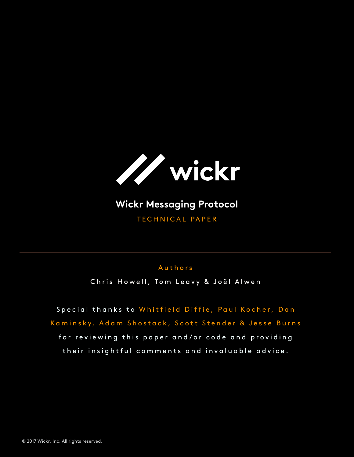

### **Wickr Messaging Protocol** TECHNICAL PAPER

### Authors

Chris Howell, Tom Leavy & Joël Alwen

Special thanks to Whitfield Diffie, Paul Kocher, Dan Kaminsky, Adam Shostack, Scott Stender & Jesse Burns for reviewing this paper and/or code and providing their insightful comments and invaluable advice.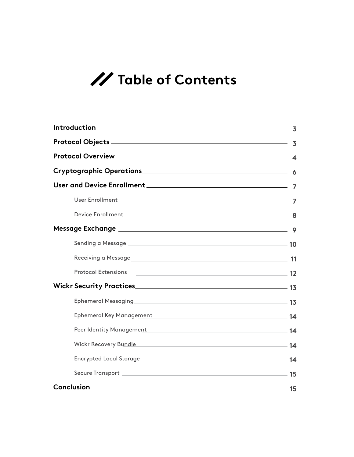# **Table of Contents**

| Protocol Objects 2000 Contract 2000 Contract 2000 Contract 2000 Contract 2000 Contract 2000 Contract 2000 Contract 2000 Contract 2000 Contract 2000 Contract 2000 Contract 2000 Contract 2000 Contract 2000 Contract 2000 Cont |                                                                                                               |  |
|--------------------------------------------------------------------------------------------------------------------------------------------------------------------------------------------------------------------------------|---------------------------------------------------------------------------------------------------------------|--|
|                                                                                                                                                                                                                                |                                                                                                               |  |
|                                                                                                                                                                                                                                |                                                                                                               |  |
|                                                                                                                                                                                                                                |                                                                                                               |  |
|                                                                                                                                                                                                                                |                                                                                                               |  |
|                                                                                                                                                                                                                                |                                                                                                               |  |
|                                                                                                                                                                                                                                |                                                                                                               |  |
|                                                                                                                                                                                                                                |                                                                                                               |  |
|                                                                                                                                                                                                                                | Receiving a Message <b>All Accepts and Accepts and Accepts</b> 2014 11                                        |  |
|                                                                                                                                                                                                                                | Protocol Extensions 22                                                                                        |  |
|                                                                                                                                                                                                                                |                                                                                                               |  |
|                                                                                                                                                                                                                                |                                                                                                               |  |
|                                                                                                                                                                                                                                |                                                                                                               |  |
|                                                                                                                                                                                                                                | Peer Identity Management 2000 14                                                                              |  |
|                                                                                                                                                                                                                                |                                                                                                               |  |
|                                                                                                                                                                                                                                | Encrypted Local Storage 2008 and 2009 and 2008 and 2009 and 2008 and 2009 and 2009 and 2009 and 2009 and 2009 |  |
|                                                                                                                                                                                                                                | Secure Transport 15                                                                                           |  |
|                                                                                                                                                                                                                                |                                                                                                               |  |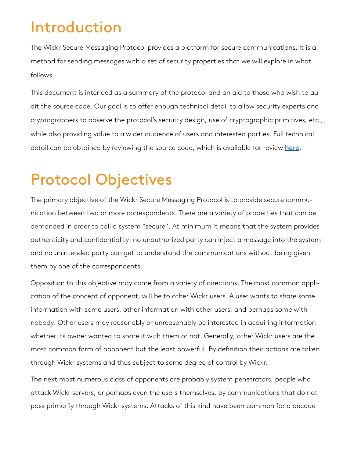## Introduction

The Wickr Secure Messaging Protocol provides a platform for secure communications. It is a method for sending messages with a set of security properties that we will explore in what follows.

This document is intended as a summary of the protocol and an aid to those who wish to audit the source code. Our goal is to offer enough technical detail to allow security experts and cryptographers to observe the protocol's security design, use of cryptographic primitives, etc., while also providing value to a wider audience of users and interested parties. Full technical detail can be obtained by reviewing the source code, which is available for review [here](https://github.com/WickrInc/wickr-crypto-c).

# Protocol Objectives

The primary objective of the Wickr Secure Messaging Protocol is to provide secure communication between two or more correspondents. There are a variety of properties that can be demanded in order to call a system "secure". At minimum it means that the system provides authenticity and confidentiality: no unauthorized party can inject a message into the system and no unintended party can get to understand the communications without being given them by one of the correspondents.

Opposition to this objective may come from a variety of directions. The most common application of the concept of opponent, will be to other Wickr users. A user wants to share some information with some users, other information with other users, and perhaps some with nobody. Other users may reasonably or unreasonably be interested in acquiring information whether its owner wanted to share it with them or not. Generally, other Wickr users are the most common form of opponent but the least powerful. By definition their actions are taken through Wickr systems and thus subject to some degree of control by Wickr.

The next most numerous class of opponents are probably system penetrators, people who attack Wickr servers, or perhaps even the users themselves, by communications that do not pass primarily through Wickr systems. Attacks of this kind have been common for a decade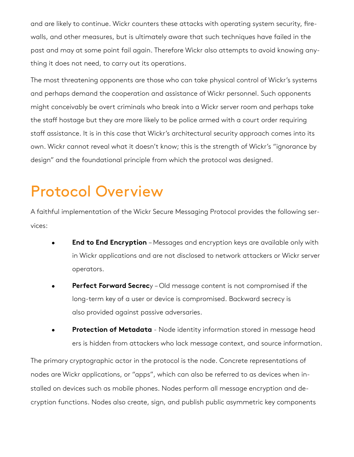and are likely to continue. Wickr counters these attacks with operating system security, firewalls, and other measures, but is ultimately aware that such techniques have failed in the past and may at some point fail again. Therefore Wickr also attempts to avoid knowing anything it does not need, to carry out its operations.

The most threatening opponents are those who can take physical control of Wickr's systems and perhaps demand the cooperation and assistance of Wickr personnel. Such opponents might conceivably be overt criminals who break into a Wickr server room and perhaps take the staff hostage but they are more likely to be police armed with a court order requiring staff assistance. It is in this case that Wickr's architectural security approach comes into its own. Wickr cannot reveal what it doesn't know; this is the strength of Wickr's "ignorance by design" and the foundational principle from which the protocol was designed.

## Protocol Overview

A faithful implementation of the Wickr Secure Messaging Protocol provides the following services:

- **End to End Encryption** Messages and encryption keys are available only with in Wickr applications and are not disclosed to network attackers or Wickr server operators.
- **Perfect Forward Secrec**y Old message content is not compromised if the long-term key of a user or device is compromised. Backward secrecy is also provided against passive adversaries.
- **Protection of Metadata** Node identity information stored in message head ers is hidden from attackers who lack message context, and source information.

The primary cryptographic actor in the protocol is the node. Concrete representations of nodes are Wickr applications, or "apps", which can also be referred to as devices when installed on devices such as mobile phones. Nodes perform all message encryption and decryption functions. Nodes also create, sign, and publish public asymmetric key components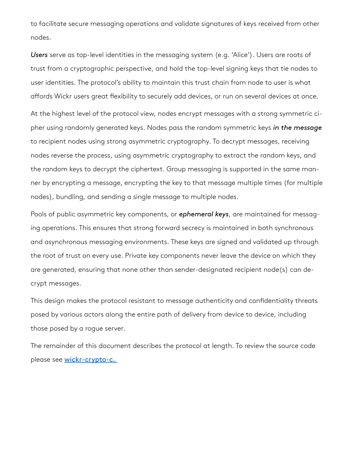to facilitate secure messaging operations and validate signatures of keys received from other nodes.

*Users* serve as top-level identities in the messaging system (e.g. 'Alice'). Users are roots of trust from a cryptographic perspective, and hold the top-level signing keys that tie nodes to user identities. The protocol's ability to maintain this trust chain from node to user is what affords Wickr users great flexibility to securely add devices, or run on several devices at once.

At the highest level of the protocol view, nodes encrypt messages with a strong symmetric cipher using randomly generated keys. Nodes pass the random symmetric keys *in the message* to recipient nodes using strong asymmetric cryptography. To decrypt messages, receiving nodes reverse the process, using asymmetric cryptography to extract the random keys, and the random keys to decrypt the ciphertext. Group messaging is supported in the same manner by encrypting a message, encrypting the key to that message multiple times (for multiple nodes), bundling, and sending a single message to multiple nodes.

Pools of public asymmetric key components, or *ephemeral keys*, are maintained for messaging operations. This ensures that strong forward secrecy is maintained in both synchronous and asynchronous messaging environments. These keys are signed and validated up through the root of trust on every use. Private key components never leave the device on which they are generated, ensuring that none other than sender-designated recipient node(s) can decrypt messages.

This design makes the protocol resistant to message authenticity and confidentiality threats posed by various actors along the entire path of delivery from device to device, including those posed by a rogue server.

The remainder of this document describes the protocol at length. To review the source code please see wickr-crypto-c.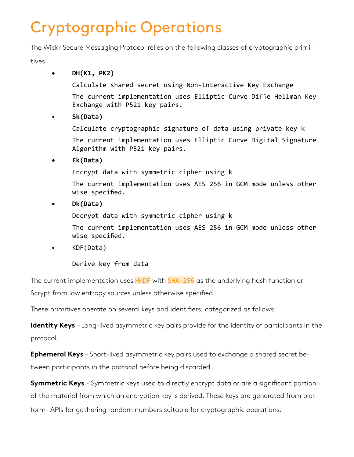# Cryptographic Operations

The Wickr Secure Messaging Protocol relies on the following classes of cryptographic primitives.

- **• DH(K1, PK2)** Calculate shared secret using Non-Interactive Key Exchange The current implementation uses Elliptic Curve Diffie Hellman Key Exchange with P521 key pairs.
- **Sk(Data)**

Calculate cryptographic signature of data using private key k The current implementation uses Elliptic Curve Digital Signature Algorithm with P521 key pairs.

**• Ek(Data)**

Encrypt data with symmetric cipher using k

The current implementation uses AES 256 in GCM mode unless other wise specified.

**• Dk(Data)**

Decrypt data with symmetric cipher using k

The current implementation uses AES 256 in GCM mode unless other wise specified.

• KDF(Data)

Derive key from data

The current implementation uses HKDF with SHA-256 as the underlying hash function or Scrypt from low entropy sources unless otherwise specified.

These primitives operate on several keys and identifiers, categorized as follows:

**Identity Keys** – Long-lived asymmetric key pairs provide for the identity of participants in the protocol.

**Ephemeral Keys** – Short-lived asymmetric key pairs used to exchange a shared secret between participants in the protocol before being discarded.

**Symmetric Keys** - Symmetric keys used to directly encrypt data or are a significant portion of the material from which an encryption key is derived. These keys are generated from platform- APIs for gathering random numbers suitable for cryptographic operations.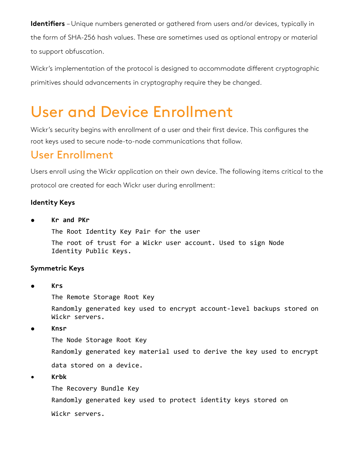**Identifiers** – Unique numbers generated or gathered from users and/or devices, typically in the form of SHA-256 hash values. These are sometimes used as optional entropy or material to support obfuscation.

Wickr's implementation of the protocol is designed to accommodate different cryptographic primitives should advancements in cryptography require they be changed.

## User and Device Enrollment

Wickr's security begins with enrollment of a user and their first device. This configures the root keys used to secure node-to-node communications that follow.

### User Enrollment

Users enroll using the Wickr application on their own device. The following items critical to the protocol are created for each Wickr user during enrollment:

### **Identity Keys**

**• Kr and PKr**

The Root Identity Key Pair for the user

The root of trust for a Wickr user account. Used to sign Node Identity Public Keys.

#### **Symmetric Keys**

**• Krs**

The Remote Storage Root Key

Randomly generated key used to encrypt account-level backups stored on Wickr servers.

**• Knsr**

The Node Storage Root Key Randomly generated key material used to derive the key used to encrypt

data stored on a device.

**• Krbk**

The Recovery Bundle Key Randomly generated key used to protect identity keys stored on Wickr servers.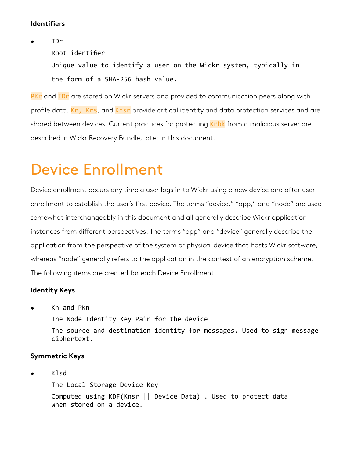#### **Identifiers**

• IDr

 Root identifier

Unique value to identify a user on the Wickr system, typically in the form of a SHA-256 hash value.

PKr and IDr are stored on Wickr servers and provided to communication peers along with profile data. <mark>Kr, Krs</mark>, and Knsr provide critical identity and data protection services and are shared between devices. Current practices for protecting Krbk from a malicious server are described in Wickr Recovery Bundle, later in this document.

## Device Enrollment

Device enrollment occurs any time a user logs in to Wickr using a new device and after user enrollment to establish the user's first device. The terms "device," "app," and "node" are used somewhat interchangeably in this document and all generally describe Wickr application instances from different perspectives. The terms "app" and "device" generally describe the application from the perspective of the system or physical device that hosts Wickr software, whereas "node" generally refers to the application in the context of an encryption scheme. The following items are created for each Device Enrollment:

### **Identity Keys**

• Kn and PKn

The Node Identity Key Pair for the device The source and destination identity for messages. Used to sign message ciphertext.

#### **Symmetric Keys**

• Klsd

The Local Storage Device Key Computed using KDF(Knsr || Device Data) . Used to protect data when stored on a device.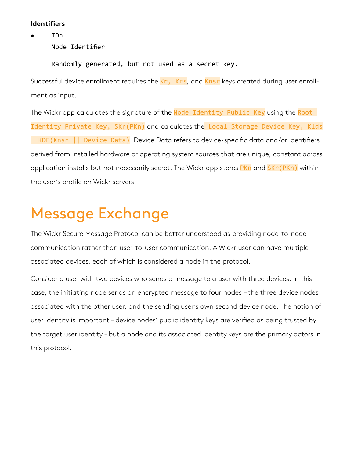#### **Identifiers**

• IDn

 Node Identifier

Randomly generated, but not used as a secret key.

Successful device enrollment requires the Kr, Krs, and Knsr keys created during user enrollment as input.

The Wickr app calculates the signature of the Node Identity Public Key using the Root Identity Private Key, SKr(PKn) and calculates the Local Storage Device Key, Klds  $=$  KDF(Knsr  $||$  Device Data). Device Data refers to device-specific data and/or identifiers derived from installed hardware or operating system sources that are unique, constant across application installs but not necessarily secret. The Wickr app stores PKn and SKr (PKn) within the user's profile on Wickr servers.

## Message Exchange

The Wickr Secure Message Protocol can be better understood as providing node-to-node communication rather than user-to-user communication. A Wickr user can have multiple associated devices, each of which is considered a node in the protocol.

Consider a user with two devices who sends a message to a user with three devices. In this case, the initiating node sends an encrypted message to four nodes – the three device nodes associated with the other user, and the sending user's own second device node. The notion of user identity is important – device nodes' public identity keys are verified as being trusted by the target user identity – but a node and its associated identity keys are the primary actors in this protocol.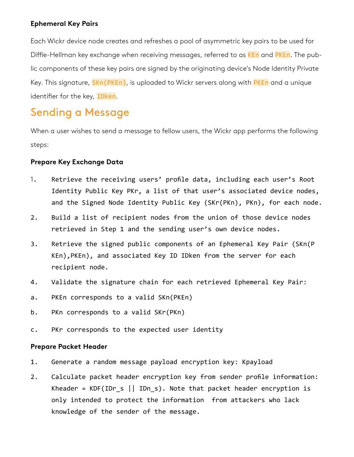#### **Ephemeral Key Pairs**

Each Wickr device node creates and refreshes a pool of asymmetric key pairs to be used for Diffie-Hellman key exchange when receiving messages, referred to as KEn and PKEn. The public components of these key pairs are signed by the originating device's Node Identity Private Key. This signature, **SKn(PKEn)**, is uploaded to Wickr servers along with PKEn and a unique identifier for the key, IDken.

### Sending a Message

When a user wishes to send a message to fellow users, the Wickr app performs the following steps:

#### **Prepare Key Exchange Data**

- 1. Retrieve the receiving users' profile data, including each user's Root Identity Public Key PKr, a list of that user's associated device nodes, and the Signed Node Identity Public Key (SKr(PKn), PKn), for each node.
- 2. Build a list of recipient nodes from the union of those device nodes retrieved in Step 1 and the sending user's own device nodes.
- 3. Retrieve the signed public components of an Ephemeral Key Pair (SKn(P KEn),PKEn), and associated Key ID IDken from the server for each recipient node.
- 4. Validate the signature chain for each retrieved Ephemeral Key Pair:
- a. PKEn corresponds to a valid SKn(PKEn)
- b. PKn corresponds to a valid SKr(PKn)
- c. PKr corresponds to the expected user identity

#### **Prepare Packet Header**

- 1. Generate a random message payload encryption key: Kpayload
- 2. Calculate packet header encryption key from sender profile information: Kheader = KDF(IDr s  $||$  IDn s). Note that packet header encryption is only intended to protect the information from attackers who lack knowledge of the sender of the message.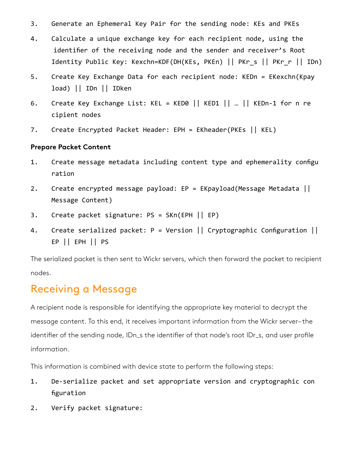- 3. Generate an Ephemeral Key Pair for the sending node: KEs and PKEs
- 4. Calculate a unique exchange key for each recipient node, using the identifier of the receiving node and the sender and receiver's Root Identity Public Key: Kexchn=KDF(DH(KEs, PKEn) || PKr\_s || PKr\_r || IDn)
- 5. Create Key Exchange Data for each recipient node: KEDn = EKexchn(Kpay load) || IDn || IDken
- 6. Create Key Exchange List: KEL = KED0 || KED1 || … || KEDn-1 for n re cipient nodes
- 7. Create Encrypted Packet Header: EPH = EKheader(PKEs || KEL)

#### **Prepare Packet Content**

- 1. Create message metadata including content type and ephemerality configu ration
- 2. Create encrypted message payload: EP = EKpayload(Message Metadata || Message Content)
- 3. Create packet signature: PS = SKn(EPH || EP)
- 4. Create serialized packet: P = Version || Cryptographic Configuration || EP || EPH || PS

The serialized packet is then sent to Wickr servers, which then forward the packet to recipient nodes.

### Receiving a Message

A recipient node is responsible for identifying the appropriate key material to decrypt the message content. To this end, it receives important information from the Wickr server– the identifier of the sending node, IDn\_s the identifier of that node's root IDr\_s, and user profile information.

This information is combined with device state to perform the following steps:

- 1. De-serialize packet and set appropriate version and cryptographic con figuration
- 2. Verify packet signature: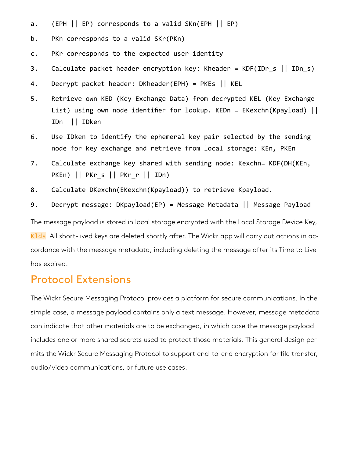- a. (EPH  $||$  EP) corresponds to a valid SKn(EPH  $||$  EP)
- b. PKn corresponds to a valid SKr(PKn)
- c. PKr corresponds to the expected user identity
- 3. Calculate packet header encryption key: Kheader = KDF(IDr s || IDn s)
- 4. Decrypt packet header: DKheader(EPH) = PKEs || KEL
- 5. Retrieve own KED (Key Exchange Data) from decrypted KEL (Key Exchange List) using own node identifier for lookup. KEDn = EKexchn(Kpayload) || IDn || IDken
- 6. Use IDken to identify the ephemeral key pair selected by the sending node for key exchange and retrieve from local storage: KEn, PKEn
- 7. Calculate exchange key shared with sending node: Kexchn= KDF(DH(KEn, PKEn) || PKr\_s || PKr\_r || IDn)
- 8. Calculate DKexchn(EKexchn(Kpayload)) to retrieve Kpayload.
- 9. Decrypt message: DKpayload(EP) = Message Metadata || Message Payload

The message payload is stored in local storage encrypted with the Local Storage Device Key, Klds. All short-lived keys are deleted shortly after. The Wickr app will carry out actions in accordance with the message metadata, including deleting the message after its Time to Live has expired.

### Protocol Extensions

The Wickr Secure Messaging Protocol provides a platform for secure communications. In the simple case, a message payload contains only a text message. However, message metadata can indicate that other materials are to be exchanged, in which case the message payload includes one or more shared secrets used to protect those materials. This general design permits the Wickr Secure Messaging Protocol to support end-to-end encryption for file transfer, audio/video communications, or future use cases.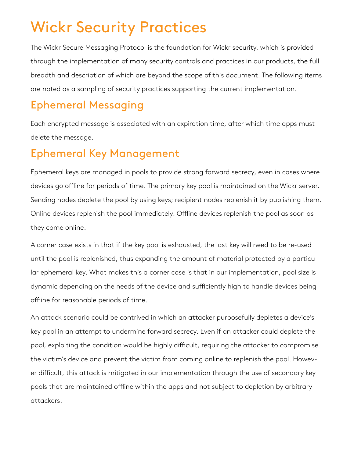# Wickr Security Practices

The Wickr Secure Messaging Protocol is the foundation for Wickr security, which is provided through the implementation of many security controls and practices in our products, the full breadth and description of which are beyond the scope of this document. The following items are noted as a sampling of security practices supporting the current implementation.

## Ephemeral Messaging

Each encrypted message is associated with an expiration time, after which time apps must delete the message.

## Ephemeral Key Management

Ephemeral keys are managed in pools to provide strong forward secrecy, even in cases where devices go offline for periods of time. The primary key pool is maintained on the Wickr server. Sending nodes deplete the pool by using keys; recipient nodes replenish it by publishing them. Online devices replenish the pool immediately. Offline devices replenish the pool as soon as they come online.

A corner case exists in that if the key pool is exhausted, the last key will need to be re-used until the pool is replenished, thus expanding the amount of material protected by a particular ephemeral key. What makes this a corner case is that in our implementation, pool size is dynamic depending on the needs of the device and sufficiently high to handle devices being offline for reasonable periods of time.

An attack scenario could be contrived in which an attacker purposefully depletes a device's key pool in an attempt to undermine forward secrecy. Even if an attacker could deplete the pool, exploiting the condition would be highly difficult, requiring the attacker to compromise the victim's device and prevent the victim from coming online to replenish the pool. However difficult, this attack is mitigated in our implementation through the use of secondary key pools that are maintained offline within the apps and not subject to depletion by arbitrary attackers.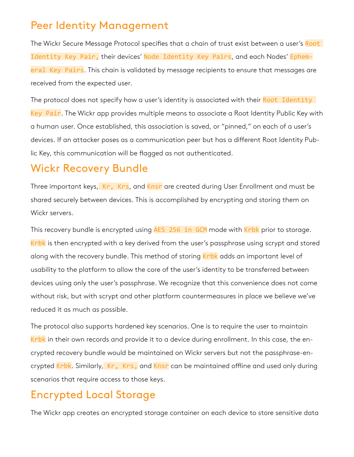### Peer Identity Management

The Wickr Secure Message Protocol specifies that a chain of trust exist between a user's Root Identity Key Pair, their devices' Node Identity Key Pairs, and each Nodes' Ephemeral Key Pairs. This chain is validated by message recipients to ensure that messages are received from the expected user.

The protocol does not specify how a user's identity is associated with their Root Identity Key Pair. The Wickr app provides multiple means to associate a Root Identity Public Key with a human user. Once established, this association is saved, or "pinned," on each of a user's devices. If an attacker poses as a communication peer but has a different Root Identity Public Key, this communication will be flagged as not authenticated.

### Wickr Recovery Bundle

Three important keys, Kr, Krs, and Knsr are created during User Enrollment and must be shared securely between devices. This is accomplished by encrypting and storing them on Wickr servers.

This recovery bundle is encrypted using AES 256 in GCM mode with Krbk prior to storage. Krbk is then encrypted with a key derived from the user's passphrase using scrypt and stored along with the recovery bundle. This method of storing Krbk adds an important level of usability to the platform to allow the core of the user's identity to be transferred between devices using only the user's passphrase. We recognize that this convenience does not come without risk, but with scrypt and other platform countermeasures in place we believe we've reduced it as much as possible.

The protocol also supports hardened key scenarios. One is to require the user to maintain Krbk in their own records and provide it to a device during enrollment. In this case, the encrypted recovery bundle would be maintained on Wickr servers but not the passphrase-encrypted Krbk. Similarly, Kr, Krs, and Knsr can be maintained offline and used only during scenarios that require access to those keys.

## Encrypted Local Storage

The Wickr app creates an encrypted storage container on each device to store sensitive data